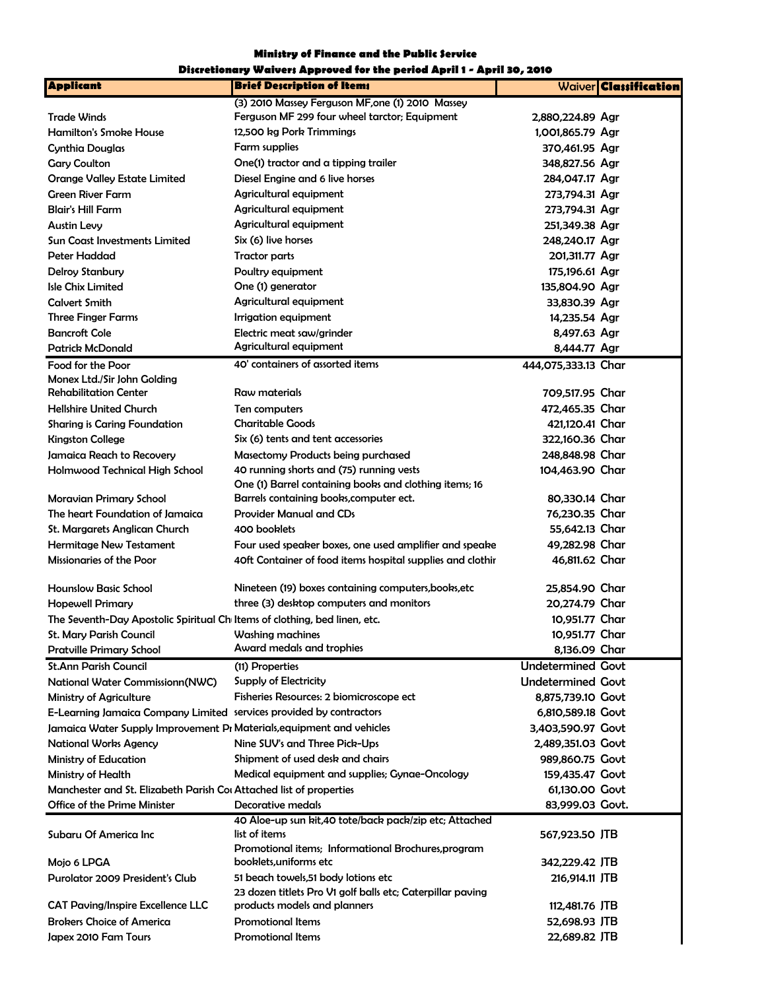Ministry of Finance and the Public Service

|                                                                           | Discretionary Waivers Approved for the period April 1 - April 30, 2010         |                          |                              |
|---------------------------------------------------------------------------|--------------------------------------------------------------------------------|--------------------------|------------------------------|
| <b>Applicant</b>                                                          | <b>Brief Description of Items</b>                                              |                          | Waiver <b>Classification</b> |
|                                                                           | (3) 2010 Massey Ferguson MF, one (1) 2010 Massey                               |                          |                              |
| <b>Trade Winds</b>                                                        | Ferguson MF 299 four wheel tarctor; Equipment                                  | 2,880,224.89 Agr         |                              |
| <b>Hamilton's Smoke House</b>                                             | 12,500 kg Pork Trimmings                                                       | 1,001,865.79 Agr         |                              |
| Cynthia Douglas                                                           | Farm supplies                                                                  | 370,461.95 Agr           |                              |
| <b>Gary Coulton</b>                                                       | One(1) tractor and a tipping trailer                                           | 348,827.56 Agr           |                              |
| <b>Orange Valley Estate Limited</b>                                       | Diesel Engine and 6 live horses                                                | 284,047.17 Agr           |                              |
| <b>Green River Farm</b>                                                   | Agricultural equipment                                                         | 273,794.31 Agr           |                              |
| <b>Blair's Hill Farm</b>                                                  | Agricultural equipment                                                         | 273,794.31 Agr           |                              |
| <b>Austin Levy</b>                                                        | Agricultural equipment                                                         | 251,349.38 Agr           |                              |
| <b>Sun Coast Investments Limited</b>                                      | Six (6) live horses                                                            | 248,240.17 Agr           |                              |
| Peter Haddad                                                              | <b>Tractor parts</b>                                                           | 201,311.77 Agr           |                              |
| <b>Delroy Stanbury</b>                                                    | Poultry equipment                                                              | 175,196.61 Agr           |                              |
| <b>Isle Chix Limited</b>                                                  | One (1) generator                                                              | 135,804.90 Agr           |                              |
| <b>Calvert Smith</b>                                                      | Agricultural equipment                                                         | 33,830.39 Agr            |                              |
| <b>Three Finger Farms</b>                                                 | Irrigation equipment                                                           | 14,235.54 Agr            |                              |
| <b>Bancroft Cole</b>                                                      | Electric meat saw/grinder                                                      | 8,497.63 Agr             |                              |
| <b>Patrick McDonald</b>                                                   | Agricultural equipment                                                         | 8,444.77 Agr             |                              |
|                                                                           | 40' containers of assorted items                                               |                          |                              |
| Food for the Poor<br>Monex Ltd./Sir John Golding                          |                                                                                | 444,075,333.13 Char      |                              |
| <b>Rehabilitation Center</b>                                              | Raw materials                                                                  | 709,517.95 Char          |                              |
| <b>Hellshire United Church</b>                                            | Ten computers                                                                  | 472,465.35 Char          |                              |
| <b>Sharing is Caring Foundation</b>                                       | <b>Charitable Goods</b>                                                        | 421,120.41 Char          |                              |
| <b>Kingston College</b>                                                   | Six (6) tents and tent accessories                                             | 322,160.36 Char          |                              |
| Jamaica Reach to Recovery                                                 |                                                                                | 248,848.98 Char          |                              |
|                                                                           | Masectomy Products being purchased<br>40 running shorts and (75) running vests |                          |                              |
| Holmwood Technical High School                                            | One (1) Barrel containing books and clothing items; 16                         | 104,463.90 Char          |                              |
| Moravian Primary School                                                   | Barrels containing books, computer ect.                                        | 80,330.14 Char           |                              |
| The heart Foundation of Jamaica                                           | <b>Provider Manual and CDs</b>                                                 | 76,230.35 Char           |                              |
| St. Margarets Anglican Church                                             | 400 booklets                                                                   | 55,642.13 Char           |                              |
| <b>Hermitage New Testament</b>                                            | Four used speaker boxes, one used amplifier and speake                         | 49,282.98 Char           |                              |
| <b>Missionaries of the Poor</b>                                           | 40ft Container of food items hospital supplies and clothir                     | 46,811.62 Char           |                              |
|                                                                           |                                                                                |                          |                              |
| <b>Hounslow Basic School</b>                                              | Nineteen (19) boxes containing computers, books, etc                           | 25.854.90 Char           |                              |
| <b>Hopewell Primary</b>                                                   | three (3) desktop computers and monitors                                       | 20,274.79 Char           |                              |
| The Seventh-Day Apostolic Spiritual Ch Items of clothing, bed linen, etc. |                                                                                | 10,951.77 Char           |                              |
| St. Mary Parish Council                                                   | Washing machines                                                               | 10,951.77 Char           |                              |
| <b>Pratville Primary School</b>                                           | Award medals and trophies                                                      | 8,136.09 Char            |                              |
| <b>St.Ann Parish Council</b>                                              |                                                                                | <b>Undetermined Govt</b> |                              |
|                                                                           | (11) Properties                                                                | <b>Undetermined Govt</b> |                              |
| National Water Commissionn(NWC)                                           | Supply of Electricity                                                          |                          |                              |
| <b>Ministry of Agriculture</b>                                            | Fisheries Resources: 2 biomicroscope ect                                       | 8,875,739.10 Govt        |                              |
| E-Learning Jamaica Company Limited services provided by contractors       |                                                                                | 6,810,589.18 Govt        |                              |
| Jamaica Water Supply Improvement PI Materials, equipment and vehicles     |                                                                                | 3,403,590.97 Govt        |                              |
| <b>National Works Agency</b>                                              | Nine SUV's and Three Pick-Ups                                                  | 2,489,351.03 Govt        |                              |
| Ministry of Education                                                     | Shipment of used desk and chairs                                               | 989,860.75 Govt          |                              |
| Ministry of Health                                                        | Medical equipment and supplies; Gynae-Oncology                                 | 159,435.47 Govt          |                              |
| Manchester and St. Elizabeth Parish Cor Attached list of properties       |                                                                                | 61,130.00 Govt           |                              |
| Office of the Prime Minister                                              | Decorative medals                                                              | 83,999.03 Govt.          |                              |
|                                                                           | 40 Aloe-up sun kit,40 tote/back pack/zip etc; Attached                         |                          |                              |
| Subaru Of America Inc                                                     | list of items                                                                  | 567,923.50 JTB           |                              |
|                                                                           | Promotional items; Informational Brochures, program                            |                          |                              |
| Mojo 6 LPGA                                                               | booklets, uniforms etc                                                         | 342,229.42 JTB           |                              |
| <b>Purolator 2009 President's Club</b>                                    | 51 beach towels, 51 body lotions etc                                           | 216,914.11 JTB           |                              |
|                                                                           | 23 dozen titlets Pro V1 golf balls etc; Caterpillar paving                     |                          |                              |
| <b>CAT Paving/Inspire Excellence LLC</b>                                  | products models and planners                                                   | 112,481.76 JTB           |                              |
| <b>Brokers Choice of America</b>                                          | <b>Promotional Items</b>                                                       | 52,698.93 JTB            |                              |
| Japex 2010 Fam Tours                                                      | <b>Promotional Items</b>                                                       | 22,689.82 JTB            |                              |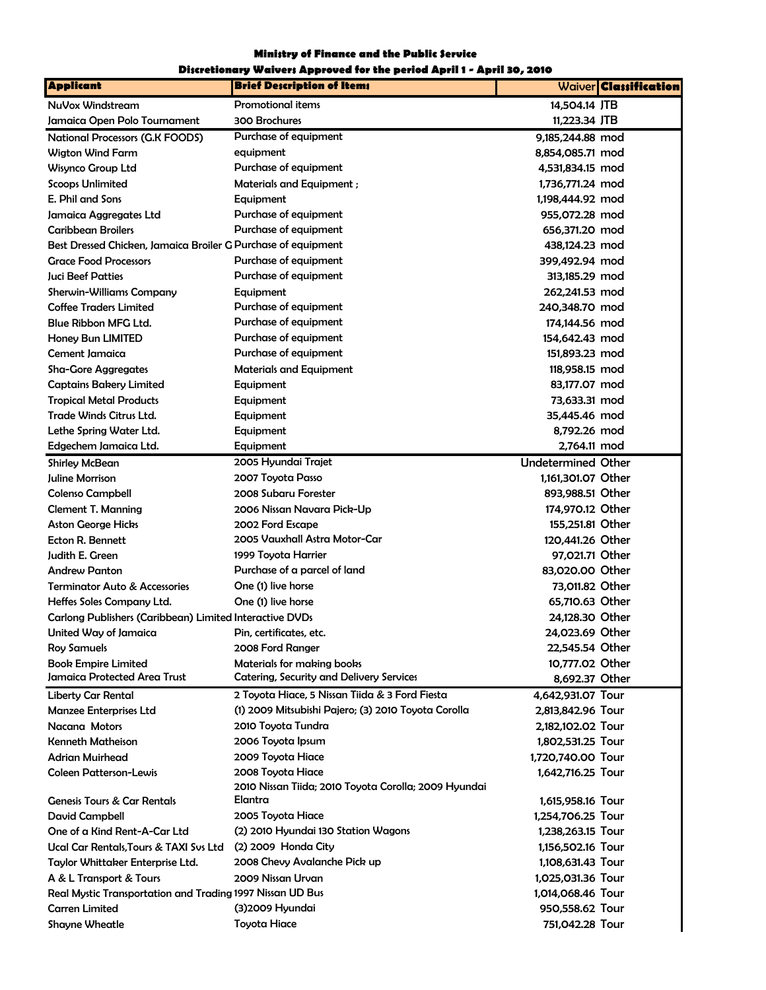## Ministry of Finance and the Public Service

## Discretionary Waivers Approved for the period April 1 - April 30, 2010

| <b>Applicant</b>                                              | <b>Brief Description of Items</b>                    | Waiver <b>Classification</b> |
|---------------------------------------------------------------|------------------------------------------------------|------------------------------|
| NuVox Windstream                                              | <b>Promotional items</b>                             | 14,504.14 JTB                |
| Jamaica Open Polo Tournament                                  | 300 Brochures                                        | 11,223.34 JTB                |
| National Processors (G.K FOODS)                               | Purchase of equipment                                | 9,185,244.88 mod             |
| <b>Wigton Wind Farm</b>                                       | equipment                                            | 8,854,085.71 mod             |
| Wisynco Group Ltd                                             | Purchase of equipment                                | 4,531,834.15 mod             |
| <b>Scoops Unlimited</b>                                       | <b>Materials and Equipment;</b>                      | 1,736,771.24 mod             |
| E. Phil and Sons                                              | Equipment                                            | 1,198,444.92 mod             |
| Jamaica Aggregates Ltd                                        | Purchase of equipment                                | 955.072.28 mod               |
| <b>Caribbean Broilers</b>                                     | Purchase of equipment                                | 656.371.20 mod               |
| Best Dressed Chicken, Jamaica Broiler G Purchase of equipment |                                                      | 438,124.23 mod               |
| <b>Grace Food Processors</b>                                  | Purchase of equipment                                | 399,492.94 mod               |
| <b>Juci Beef Patties</b>                                      | Purchase of equipment                                | 313,185.29 mod               |
| <b>Sherwin-Williams Company</b>                               | Equipment                                            | 262,241.53 mod               |
| <b>Coffee Traders Limited</b>                                 | Purchase of equipment                                | 240,348.70 mod               |
| Blue Ribbon MFG Ltd.                                          | Purchase of equipment                                | 174,144.56 mod               |
| Honey Bun LIMITED                                             | Purchase of equipment                                | 154,642.43 mod               |
| Cement Jamaica                                                | Purchase of equipment                                | 151,893.23 mod               |
| Sha-Gore Aggregates                                           | <b>Materials and Equipment</b>                       | 118,958.15 mod               |
| <b>Captains Bakery Limited</b>                                | Equipment                                            | 83,177.07 mod                |
| <b>Tropical Metal Products</b>                                | Equipment                                            | 73.633.31 mod                |
| <b>Trade Winds Citrus Ltd.</b>                                | Equipment                                            | 35,445.46 mod                |
| Lethe Spring Water Ltd.                                       | Equipment                                            | 8,792.26 mod                 |
| Edgechem Jamaica Ltd.                                         | Equipment                                            | 2,764.11 mod                 |
| <b>Shirley McBean</b>                                         | 2005 Hyundai Trajet                                  | <b>Undetermined Other</b>    |
| Juline Morrison                                               | 2007 Toyota Passo                                    | 1,161,301.07 Other           |
| <b>Colenso Campbell</b>                                       | 2008 Subaru Forester                                 | 893,988.51 Other             |
| <b>Clement T. Manning</b>                                     | 2006 Nissan Navara Pick-Up                           | 174,970.12 Other             |
| <b>Aston George Hicks</b>                                     | 2002 Ford Escape                                     | 155,251.81 Other             |
| Ecton R. Bennett                                              | 2005 Vauxhall Astra Motor-Car                        | 120,441.26 Other             |
| Judith E. Green                                               | 1999 Toyota Harrier                                  | 97,021.71 Other              |
| <b>Andrew Panton</b>                                          | Purchase of a parcel of land                         | 83,020.00 Other              |
| <b>Terminator Auto &amp; Accessories</b>                      | One (1) live horse                                   | 73,011.82 Other              |
| Heffes Soles Company Ltd.                                     | One (1) live horse                                   | 65.710.63 Other              |
| Carlong Publishers (Caribbean) Limited Interactive DVDs       |                                                      | 24,128.30 Other              |
| United Way of Jamaica                                         | Pin, certificates, etc.                              | 24.023.69 Other              |
| Roy Samuels                                                   | 2008 Ford Ranger                                     | 22,545.54 Other              |
| <b>Book Empire Limited</b>                                    | Materials for making books                           | 10,777.02 Other              |
| Jamaica Protected Area Trust                                  | <b>Catering, Security and Delivery Services</b>      | 8,692.37 Other               |
| <b>Liberty Car Rental</b>                                     | 2 Toyota Hiace, 5 Nissan Tiida & 3 Ford Fiesta       | 4,642,931.07 Tour            |
| <b>Manzee Enterprises Ltd</b>                                 | (1) 2009 Mitsubishi Pajero; (3) 2010 Toyota Corolla  | 2,813,842.96 Tour            |
| Nacana Motors                                                 | 2010 Toyota Tundra                                   | 2,182,102.02 Tour            |
| <b>Kenneth Matheison</b>                                      | 2006 Toyota Ipsum                                    | 1,802,531.25 Tour            |
| <b>Adrian Muirhead</b>                                        | 2009 Toyota Hiace                                    | 1,720,740.00 Tour            |
| <b>Coleen Patterson-Lewis</b>                                 | 2008 Toyota Hiace                                    | 1,642,716.25 Tour            |
|                                                               | 2010 Nissan Tiida; 2010 Toyota Corolla; 2009 Hyundai |                              |
| <b>Genesis Tours &amp; Car Rentals</b>                        | Elantra                                              | 1,615,958.16 Tour            |
| <b>David Campbell</b>                                         | 2005 Toyota Hiace                                    | 1,254,706.25 Tour            |
| One of a Kind Rent-A-Car Ltd                                  | (2) 2010 Hyundai 130 Station Wagons                  | 1,238,263.15 Tour            |
| Ucal Car Rentals, Tours & TAXI Sys Ltd                        | (2) 2009 Honda City                                  | 1,156,502.16 Tour            |
| Taylor Whittaker Enterprise Ltd.                              | 2008 Chevy Avalanche Pick up                         | 1,108,631.43 Tour            |
| A & L Transport & Tours                                       | 2009 Nissan Urvan<br>1,025,031.36 Tour               |                              |
| Real Mystic Transportation and Trading 1997 Nissan UD Bus     |                                                      | 1,014,068.46 Tour            |
| <b>Carren Limited</b>                                         | (3) 2009 Hyundai                                     | 950,558.62 Tour              |
| <b>Shayne Wheatle</b>                                         | <b>Toyota Hiace</b>                                  | 751,042.28 Tour              |